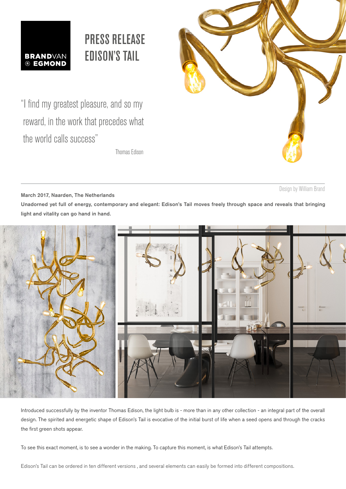

# PRESS RELEASE EDISON'S TAIL

"I find my greatest pleasure, and so my Thomas Edison



Design by William Brand

 reward, in the work that precedes what the world calls success"

March 2017, Naarden, The Netherlands Unadorned yet full of energy, contemporary and elegant: Edison's Tail moves freely through space and reveals that bringing light and vitality can go hand in hand.



Introduced successfully by the inventor Thomas Edison, the light bulb is - more than in any other collection - an integral part of the overall design. The spirited and energetic shape of Edison's Tail is evocative of the initial burst of life when a seed opens and through the cracks the first green shots appear.

To see this exact moment, is to see a wonder in the making. To capture this moment, is what Edison's Tail attempts.

Edison's Tail can be ordered in ten different versions , and several elements can easily be formed into different compositions.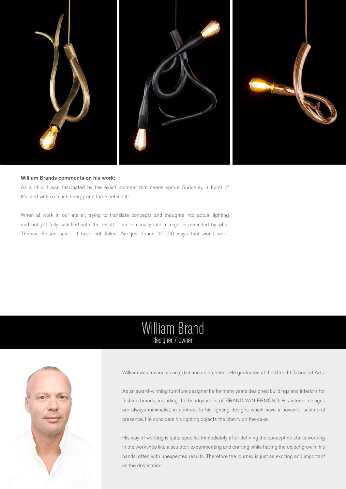

#### William Brands comments on his work:

As a child I was fascinated by the exact moment that seeds sprout Suddenly, a burst of life: and with so much energy and force behind it!

When at work in our atelier, trying to translate concepts and thoughts into actual lighting and not yet fully satisfied with the result I am – usually late at night – reminded by what Thomas Edison said: 'I have not failed. I've just found 10,000 ways that won't work.

### William Brand designer / owner



William was trained as an artist and an architect. He graduated at the Utrecht School of Arts.

As an award-winning furniture designer he for many years designed buildings and interiors for fashion brands, including the headquarters of BRAND VAN EGMOND. His interior designs are always minimalist, in contrast to his lighting designs which have a powerful sculptural presence. He considers his lighting objects the cherry on the cake.

His way of working is quite specific. Immediately after defining the concept he starts working in the workshop like a sculptor; experimenting and crafting while having the object grow in his hands, often with unexpected results. Therefore the journey is just as exciting and important as the destination.